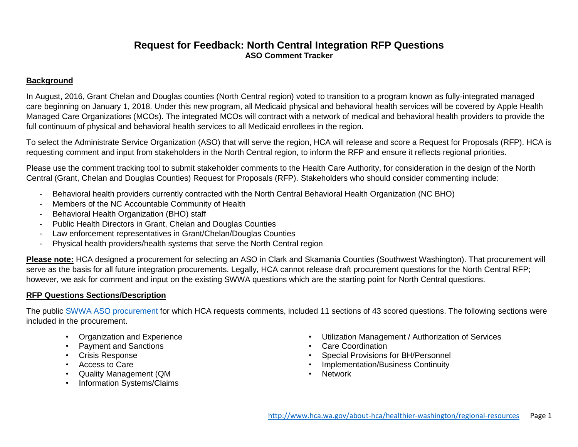# **Request for Feedback: North Central Integration RFP Questions ASO Comment Tracker**

#### **Background**

In August, 2016, Grant Chelan and Douglas counties (North Central region) voted to transition to a program known as fully-integrated managed care beginning on January 1, 2018. Under this new program, all Medicaid physical and behavioral health services will be covered by Apple Health Managed Care Organizations (MCOs). The integrated MCOs will contract with a network of medical and behavioral health providers to provide the full continuum of physical and behavioral health services to all Medicaid enrollees in the region.

To select the Administrate Service Organization (ASO) that will serve the region, HCA will release and score a Request for Proposals (RFP). HCA is requesting comment and input from stakeholders in the North Central region, to inform the RFP and ensure it reflects regional priorities.

Please use the comment tracking tool to submit stakeholder comments to the Health Care Authority, for consideration in the design of the North Central (Grant, Chelan and Douglas Counties) Request for Proposals (RFP). Stakeholders who should consider commenting include:

- Behavioral health providers currently contracted with the North Central Behavioral Health Organization (NC BHO)
- Members of the NC Accountable Community of Health
- Behavioral Health Organization (BHO) staff
- Public Health Directors in Grant, Chelan and Douglas Counties
- Law enforcement representatives in Grant/Chelan/Douglas Counties
- Physical health providers/health systems that serve the North Central region

**Please note:** HCA designed a procurement for selecting an ASO in Clark and Skamania Counties (Southwest Washington). That procurement will serve as the basis for all future integration procurements. Legally, HCA cannot release draft procurement questions for the North Central RFP; however, we ask for comment and input on the existing SWWA questions which are the starting point for North Central questions.

## **RFP Questions Sections/Description**

The public SWWA [ASO procurement](http://www.hca.wa.gov/assets/program/RFP_15-026_BH-ASO.pdf) for which HCA requests comments, included 11 sections of 43 scored questions. The following sections were included in the procurement.

- Organization and Experience
- Payment and Sanctions
- Crisis Response
- Access to Care
- Quality Management (QM
- Information Systems/Claims
- Utilization Management / Authorization of Services
- Care Coordination
- Special Provisions for BH/Personnel
- Implementation/Business Continuity
- Network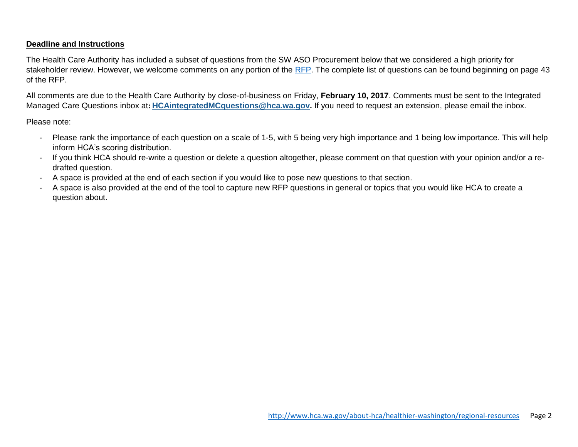### **Deadline and Instructions**

The Health Care Authority has included a subset of questions from the SW ASO Procurement below that we considered a high priority for stakeholder review. However, we welcome comments on any portion of the [RFP.](http://www.hca.wa.gov/assets/program/RFP_15-026_BH-ASO.pdf) The complete list of questions can be found beginning on page 43 of the RFP.

All comments are due to the Health Care Authority by close-of-business on Friday, **February 10, 2017**. Comments must be sent to the Integrated Managed Care Questions inbox at**: [HCAintegratedMCquestions@hca.wa.gov.](mailto:HCAintegratedMCquestions@hca.wa.gov)** If you need to request an extension, please email the inbox.

Please note:

- Please rank the importance of each question on a scale of 1-5, with 5 being very high importance and 1 being low importance. This will help inform HCA's scoring distribution.
- If you think HCA should re-write a question or delete a question altogether, please comment on that question with your opinion and/or a redrafted question.
- A space is provided at the end of each section if you would like to pose new questions to that section.
- A space is also provided at the end of the tool to capture new RFP questions in general or topics that you would like HCA to create a question about.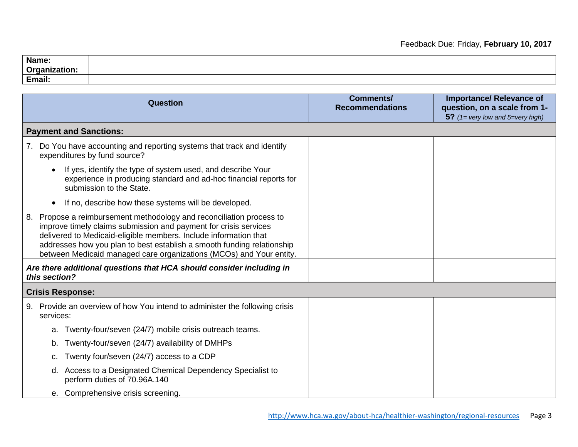| Name:                      |  |
|----------------------------|--|
| $\mathbf{a}$<br><b>VIS</b> |  |
| Email:                     |  |

| Question                                                                                                                                                                                                                                                                                                                                                         | <b>Comments/</b><br><b>Recommendations</b> | <b>Importance/ Relevance of</b><br>question, on a scale from 1-<br>5? $(1=$ very low and 5=very high) |
|------------------------------------------------------------------------------------------------------------------------------------------------------------------------------------------------------------------------------------------------------------------------------------------------------------------------------------------------------------------|--------------------------------------------|-------------------------------------------------------------------------------------------------------|
| <b>Payment and Sanctions:</b>                                                                                                                                                                                                                                                                                                                                    |                                            |                                                                                                       |
| Do You have accounting and reporting systems that track and identify<br>7.<br>expenditures by fund source?                                                                                                                                                                                                                                                       |                                            |                                                                                                       |
| If yes, identify the type of system used, and describe Your<br>experience in producing standard and ad-hoc financial reports for<br>submission to the State.                                                                                                                                                                                                     |                                            |                                                                                                       |
| If no, describe how these systems will be developed.                                                                                                                                                                                                                                                                                                             |                                            |                                                                                                       |
| Propose a reimbursement methodology and reconciliation process to<br>8.<br>improve timely claims submission and payment for crisis services<br>delivered to Medicaid-eligible members. Include information that<br>addresses how you plan to best establish a smooth funding relationship<br>between Medicaid managed care organizations (MCOs) and Your entity. |                                            |                                                                                                       |
| Are there additional questions that HCA should consider including in<br>this section?                                                                                                                                                                                                                                                                            |                                            |                                                                                                       |
| <b>Crisis Response:</b>                                                                                                                                                                                                                                                                                                                                          |                                            |                                                                                                       |
| 9. Provide an overview of how You intend to administer the following crisis<br>services:                                                                                                                                                                                                                                                                         |                                            |                                                                                                       |
| Twenty-four/seven (24/7) mobile crisis outreach teams.<br>a.                                                                                                                                                                                                                                                                                                     |                                            |                                                                                                       |
| Twenty-four/seven (24/7) availability of DMHPs<br>b.                                                                                                                                                                                                                                                                                                             |                                            |                                                                                                       |
| Twenty four/seven (24/7) access to a CDP<br>c.                                                                                                                                                                                                                                                                                                                   |                                            |                                                                                                       |
| Access to a Designated Chemical Dependency Specialist to<br>d.<br>perform duties of 70.96A.140                                                                                                                                                                                                                                                                   |                                            |                                                                                                       |
| e. Comprehensive crisis screening.                                                                                                                                                                                                                                                                                                                               |                                            |                                                                                                       |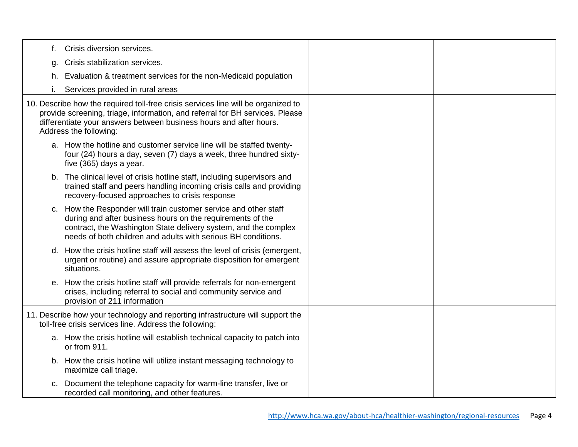| t. | Crisis diversion services.                                                                                                                                                                                                                                         |  |
|----|--------------------------------------------------------------------------------------------------------------------------------------------------------------------------------------------------------------------------------------------------------------------|--|
| g. | Crisis stabilization services.                                                                                                                                                                                                                                     |  |
| h. | Evaluation & treatment services for the non-Medicaid population                                                                                                                                                                                                    |  |
|    | Services provided in rural areas                                                                                                                                                                                                                                   |  |
|    | 10. Describe how the required toll-free crisis services line will be organized to<br>provide screening, triage, information, and referral for BH services. Please<br>differentiate your answers between business hours and after hours.<br>Address the following:  |  |
|    | a. How the hotline and customer service line will be staffed twenty-<br>four (24) hours a day, seven (7) days a week, three hundred sixty-<br>five (365) days a year.                                                                                              |  |
|    | b. The clinical level of crisis hotline staff, including supervisors and<br>trained staff and peers handling incoming crisis calls and providing<br>recovery-focused approaches to crisis response                                                                 |  |
|    | c. How the Responder will train customer service and other staff<br>during and after business hours on the requirements of the<br>contract, the Washington State delivery system, and the complex<br>needs of both children and adults with serious BH conditions. |  |
|    | d. How the crisis hotline staff will assess the level of crisis (emergent,<br>urgent or routine) and assure appropriate disposition for emergent<br>situations.                                                                                                    |  |
|    | e. How the crisis hotline staff will provide referrals for non-emergent<br>crises, including referral to social and community service and<br>provision of 211 information                                                                                          |  |
|    | 11. Describe how your technology and reporting infrastructure will support the<br>toll-free crisis services line. Address the following:                                                                                                                           |  |
|    | a. How the crisis hotline will establish technical capacity to patch into<br>or from 911.                                                                                                                                                                          |  |
|    | b. How the crisis hotline will utilize instant messaging technology to<br>maximize call triage.                                                                                                                                                                    |  |
|    | c. Document the telephone capacity for warm-line transfer, live or<br>recorded call monitoring, and other features.                                                                                                                                                |  |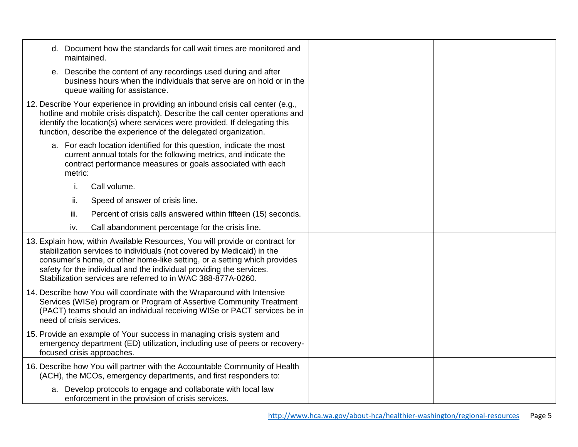| d. Document how the standards for call wait times are monitored and<br>maintained.                                                                                                                                                                                                                                                                                          |  |
|-----------------------------------------------------------------------------------------------------------------------------------------------------------------------------------------------------------------------------------------------------------------------------------------------------------------------------------------------------------------------------|--|
| e. Describe the content of any recordings used during and after<br>business hours when the individuals that serve are on hold or in the<br>queue waiting for assistance.                                                                                                                                                                                                    |  |
| 12. Describe Your experience in providing an inbound crisis call center (e.g.,<br>hotline and mobile crisis dispatch). Describe the call center operations and<br>identify the location(s) where services were provided. If delegating this<br>function, describe the experience of the delegated organization.                                                             |  |
| a. For each location identified for this question, indicate the most<br>current annual totals for the following metrics, and indicate the<br>contract performance measures or goals associated with each<br>metric:                                                                                                                                                         |  |
| i.<br>Call volume.                                                                                                                                                                                                                                                                                                                                                          |  |
| Speed of answer of crisis line.<br>ii.                                                                                                                                                                                                                                                                                                                                      |  |
| iii.<br>Percent of crisis calls answered within fifteen (15) seconds.                                                                                                                                                                                                                                                                                                       |  |
| Call abandonment percentage for the crisis line.<br>iv.                                                                                                                                                                                                                                                                                                                     |  |
| 13. Explain how, within Available Resources, You will provide or contract for<br>stabilization services to individuals (not covered by Medicaid) in the<br>consumer's home, or other home-like setting, or a setting which provides<br>safety for the individual and the individual providing the services.<br>Stabilization services are referred to in WAC 388-877A-0260. |  |
| 14. Describe how You will coordinate with the Wraparound with Intensive<br>Services (WISe) program or Program of Assertive Community Treatment<br>(PACT) teams should an individual receiving WISe or PACT services be in<br>need of crisis services.                                                                                                                       |  |
| 15. Provide an example of Your success in managing crisis system and<br>emergency department (ED) utilization, including use of peers or recovery-<br>focused crisis approaches.                                                                                                                                                                                            |  |
| 16. Describe how You will partner with the Accountable Community of Health<br>(ACH), the MCOs, emergency departments, and first responders to:                                                                                                                                                                                                                              |  |
| a. Develop protocols to engage and collaborate with local law<br>enforcement in the provision of crisis services.                                                                                                                                                                                                                                                           |  |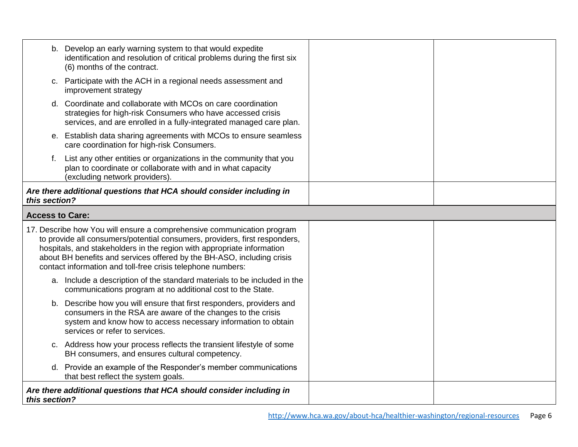|                        | b. Develop an early warning system to that would expedite<br>identification and resolution of critical problems during the first six<br>(6) months of the contract.                                                                                                                                                                                                     |  |
|------------------------|-------------------------------------------------------------------------------------------------------------------------------------------------------------------------------------------------------------------------------------------------------------------------------------------------------------------------------------------------------------------------|--|
|                        | c. Participate with the ACH in a regional needs assessment and<br>improvement strategy                                                                                                                                                                                                                                                                                  |  |
|                        | d. Coordinate and collaborate with MCOs on care coordination<br>strategies for high-risk Consumers who have accessed crisis<br>services, and are enrolled in a fully-integrated managed care plan.                                                                                                                                                                      |  |
| е.                     | Establish data sharing agreements with MCOs to ensure seamless<br>care coordination for high-risk Consumers.                                                                                                                                                                                                                                                            |  |
|                        | List any other entities or organizations in the community that you<br>plan to coordinate or collaborate with and in what capacity<br>(excluding network providers)                                                                                                                                                                                                      |  |
| this section?          | Are there additional questions that HCA should consider including in                                                                                                                                                                                                                                                                                                    |  |
| <b>Access to Care:</b> |                                                                                                                                                                                                                                                                                                                                                                         |  |
|                        | 17. Describe how You will ensure a comprehensive communication program<br>to provide all consumers/potential consumers, providers, first responders,<br>hospitals, and stakeholders in the region with appropriate information<br>about BH benefits and services offered by the BH-ASO, including crisis<br>contact information and toll-free crisis telephone numbers: |  |
|                        | a. Include a description of the standard materials to be included in the<br>communications program at no additional cost to the State.                                                                                                                                                                                                                                  |  |
| b.                     | Describe how you will ensure that first responders, providers and<br>consumers in the RSA are aware of the changes to the crisis<br>system and know how to access necessary information to obtain<br>services or refer to services.                                                                                                                                     |  |
|                        | c. Address how your process reflects the transient lifestyle of some<br>BH consumers, and ensures cultural competency.                                                                                                                                                                                                                                                  |  |
|                        | d. Provide an example of the Responder's member communications<br>that best reflect the system goals.                                                                                                                                                                                                                                                                   |  |
| this section?          | Are there additional questions that HCA should consider including in                                                                                                                                                                                                                                                                                                    |  |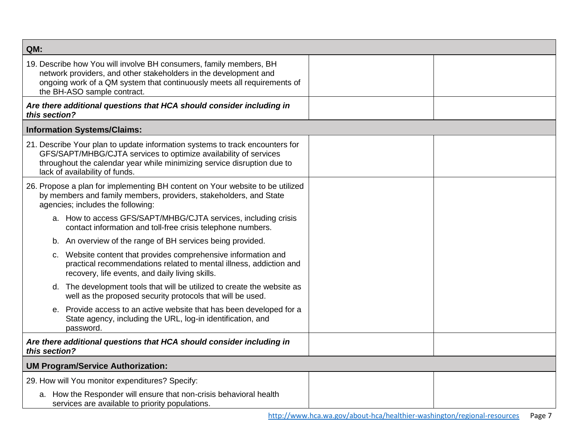| QM:                                                                                                                                                                                                                                                           |  |  |
|---------------------------------------------------------------------------------------------------------------------------------------------------------------------------------------------------------------------------------------------------------------|--|--|
| 19. Describe how You will involve BH consumers, family members, BH<br>network providers, and other stakeholders in the development and<br>ongoing work of a QM system that continuously meets all requirements of<br>the BH-ASO sample contract.              |  |  |
| Are there additional questions that HCA should consider including in<br>this section?                                                                                                                                                                         |  |  |
| <b>Information Systems/Claims:</b>                                                                                                                                                                                                                            |  |  |
| 21. Describe Your plan to update information systems to track encounters for<br>GFS/SAPT/MHBG/CJTA services to optimize availability of services<br>throughout the calendar year while minimizing service disruption due to<br>lack of availability of funds. |  |  |
| 26. Propose a plan for implementing BH content on Your website to be utilized<br>by members and family members, providers, stakeholders, and State<br>agencies; includes the following:                                                                       |  |  |
| a. How to access GFS/SAPT/MHBG/CJTA services, including crisis<br>contact information and toll-free crisis telephone numbers.                                                                                                                                 |  |  |
| An overview of the range of BH services being provided.<br>b.                                                                                                                                                                                                 |  |  |
| Website content that provides comprehensive information and<br>C.<br>practical recommendations related to mental illness, addiction and<br>recovery, life events, and daily living skills.                                                                    |  |  |
| d. The development tools that will be utilized to create the website as<br>well as the proposed security protocols that will be used.                                                                                                                         |  |  |
| Provide access to an active website that has been developed for a<br>е.<br>State agency, including the URL, log-in identification, and<br>password.                                                                                                           |  |  |
| Are there additional questions that HCA should consider including in<br>this section?                                                                                                                                                                         |  |  |
| <b>UM Program/Service Authorization:</b>                                                                                                                                                                                                                      |  |  |
| 29. How will You monitor expenditures? Specify:                                                                                                                                                                                                               |  |  |
| a. How the Responder will ensure that non-crisis behavioral health<br>services are available to priority populations.                                                                                                                                         |  |  |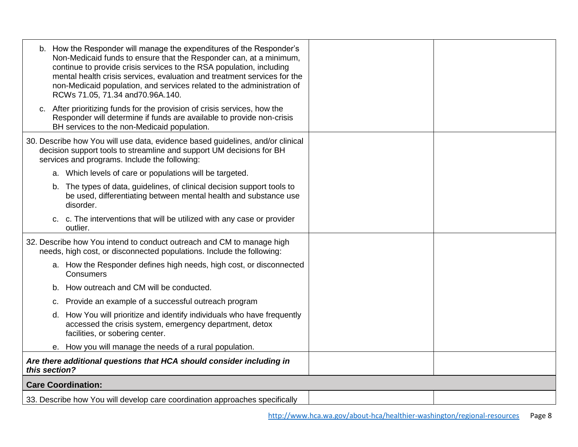| b. How the Responder will manage the expenditures of the Responder's<br>Non-Medicaid funds to ensure that the Responder can, at a minimum,<br>continue to provide crisis services to the RSA population, including<br>mental health crisis services, evaluation and treatment services for the<br>non-Medicaid population, and services related to the administration of<br>RCWs 71.05, 71.34 and 70.96A.140. |  |
|---------------------------------------------------------------------------------------------------------------------------------------------------------------------------------------------------------------------------------------------------------------------------------------------------------------------------------------------------------------------------------------------------------------|--|
| c. After prioritizing funds for the provision of crisis services, how the<br>Responder will determine if funds are available to provide non-crisis<br>BH services to the non-Medicaid population.                                                                                                                                                                                                             |  |
| 30. Describe how You will use data, evidence based guidelines, and/or clinical<br>decision support tools to streamline and support UM decisions for BH<br>services and programs. Include the following:                                                                                                                                                                                                       |  |
| a. Which levels of care or populations will be targeted.                                                                                                                                                                                                                                                                                                                                                      |  |
| The types of data, guidelines, of clinical decision support tools to<br>b.<br>be used, differentiating between mental health and substance use<br>disorder.                                                                                                                                                                                                                                                   |  |
| c. c. The interventions that will be utilized with any case or provider<br>outlier.                                                                                                                                                                                                                                                                                                                           |  |
| 32. Describe how You intend to conduct outreach and CM to manage high<br>needs, high cost, or disconnected populations. Include the following:                                                                                                                                                                                                                                                                |  |
| a. How the Responder defines high needs, high cost, or disconnected<br>Consumers                                                                                                                                                                                                                                                                                                                              |  |
| How outreach and CM will be conducted.<br>b.                                                                                                                                                                                                                                                                                                                                                                  |  |
| c. Provide an example of a successful outreach program                                                                                                                                                                                                                                                                                                                                                        |  |
| d. How You will prioritize and identify individuals who have frequently<br>accessed the crisis system, emergency department, detox<br>facilities, or sobering center.                                                                                                                                                                                                                                         |  |
| e. How you will manage the needs of a rural population.                                                                                                                                                                                                                                                                                                                                                       |  |
| Are there additional questions that HCA should consider including in<br>this section?                                                                                                                                                                                                                                                                                                                         |  |
| <b>Care Coordination:</b>                                                                                                                                                                                                                                                                                                                                                                                     |  |
| 33. Describe how You will develop care coordination approaches specifically                                                                                                                                                                                                                                                                                                                                   |  |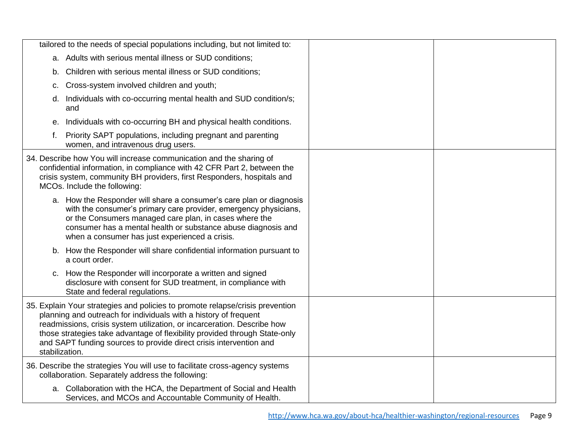|                | tailored to the needs of special populations including, but not limited to:                                                                                                                                                                                                                                                                                                      |  |
|----------------|----------------------------------------------------------------------------------------------------------------------------------------------------------------------------------------------------------------------------------------------------------------------------------------------------------------------------------------------------------------------------------|--|
|                | a. Adults with serious mental illness or SUD conditions;                                                                                                                                                                                                                                                                                                                         |  |
| b.             | Children with serious mental illness or SUD conditions;                                                                                                                                                                                                                                                                                                                          |  |
| c.             | Cross-system involved children and youth;                                                                                                                                                                                                                                                                                                                                        |  |
|                | d. Individuals with co-occurring mental health and SUD condition/s;<br>and                                                                                                                                                                                                                                                                                                       |  |
| е.             | Individuals with co-occurring BH and physical health conditions.                                                                                                                                                                                                                                                                                                                 |  |
|                | f. Priority SAPT populations, including pregnant and parenting<br>women, and intravenous drug users.                                                                                                                                                                                                                                                                             |  |
|                | 34. Describe how You will increase communication and the sharing of<br>confidential information, in compliance with 42 CFR Part 2, between the<br>crisis system, community BH providers, first Responders, hospitals and<br>MCOs. Include the following:                                                                                                                         |  |
|                | a. How the Responder will share a consumer's care plan or diagnosis<br>with the consumer's primary care provider, emergency physicians,<br>or the Consumers managed care plan, in cases where the<br>consumer has a mental health or substance abuse diagnosis and<br>when a consumer has just experienced a crisis.                                                             |  |
|                | b. How the Responder will share confidential information pursuant to<br>a court order.                                                                                                                                                                                                                                                                                           |  |
|                | c. How the Responder will incorporate a written and signed<br>disclosure with consent for SUD treatment, in compliance with<br>State and federal regulations.                                                                                                                                                                                                                    |  |
| stabilization. | 35. Explain Your strategies and policies to promote relapse/crisis prevention<br>planning and outreach for individuals with a history of frequent<br>readmissions, crisis system utilization, or incarceration. Describe how<br>those strategies take advantage of flexibility provided through State-only<br>and SAPT funding sources to provide direct crisis intervention and |  |
|                | 36. Describe the strategies You will use to facilitate cross-agency systems<br>collaboration. Separately address the following:                                                                                                                                                                                                                                                  |  |
|                | a. Collaboration with the HCA, the Department of Social and Health<br>Services, and MCOs and Accountable Community of Health.                                                                                                                                                                                                                                                    |  |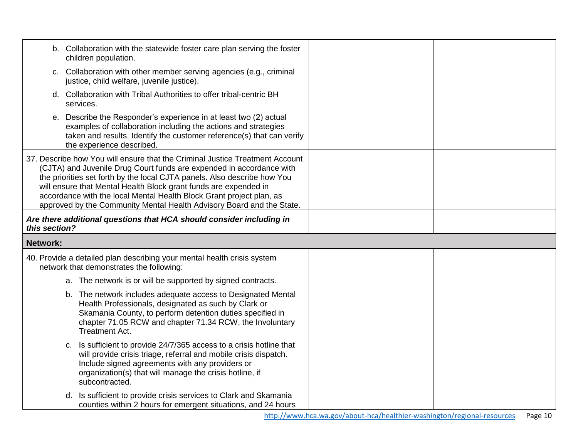|                                                                                                                                                                                                                                                                                                                                                                                                                                                       | b. Collaboration with the statewide foster care plan serving the foster<br>children population.                                                                                                                                                                        |  |
|-------------------------------------------------------------------------------------------------------------------------------------------------------------------------------------------------------------------------------------------------------------------------------------------------------------------------------------------------------------------------------------------------------------------------------------------------------|------------------------------------------------------------------------------------------------------------------------------------------------------------------------------------------------------------------------------------------------------------------------|--|
|                                                                                                                                                                                                                                                                                                                                                                                                                                                       | c. Collaboration with other member serving agencies (e.g., criminal<br>justice, child welfare, juvenile justice).                                                                                                                                                      |  |
|                                                                                                                                                                                                                                                                                                                                                                                                                                                       | d. Collaboration with Tribal Authorities to offer tribal-centric BH<br>services.                                                                                                                                                                                       |  |
| е.                                                                                                                                                                                                                                                                                                                                                                                                                                                    | Describe the Responder's experience in at least two (2) actual<br>examples of collaboration including the actions and strategies<br>taken and results. Identify the customer reference(s) that can verify<br>the experience described.                                 |  |
| 37. Describe how You will ensure that the Criminal Justice Treatment Account<br>(CJTA) and Juvenile Drug Court funds are expended in accordance with<br>the priorities set forth by the local CJTA panels. Also describe how You<br>will ensure that Mental Health Block grant funds are expended in<br>accordance with the local Mental Health Block Grant project plan, as<br>approved by the Community Mental Health Advisory Board and the State. |                                                                                                                                                                                                                                                                        |  |
| this section?                                                                                                                                                                                                                                                                                                                                                                                                                                         | Are there additional questions that HCA should consider including in                                                                                                                                                                                                   |  |
| <b>Network:</b>                                                                                                                                                                                                                                                                                                                                                                                                                                       |                                                                                                                                                                                                                                                                        |  |
|                                                                                                                                                                                                                                                                                                                                                                                                                                                       | 40. Provide a detailed plan describing your mental health crisis system<br>network that demonstrates the following:                                                                                                                                                    |  |
|                                                                                                                                                                                                                                                                                                                                                                                                                                                       | a. The network is or will be supported by signed contracts.                                                                                                                                                                                                            |  |
|                                                                                                                                                                                                                                                                                                                                                                                                                                                       | b. The network includes adequate access to Designated Mental<br>Health Professionals, designated as such by Clark or<br>Skamania County, to perform detention duties specified in<br>chapter 71.05 RCW and chapter 71.34 RCW, the Involuntary<br><b>Treatment Act.</b> |  |
|                                                                                                                                                                                                                                                                                                                                                                                                                                                       | Is sufficient to provide 24/7/365 access to a crisis hotline that<br>C.<br>will provide crisis triage, referral and mobile crisis dispatch.                                                                                                                            |  |
|                                                                                                                                                                                                                                                                                                                                                                                                                                                       | Include signed agreements with any providers or<br>organization(s) that will manage the crisis hotline, if<br>subcontracted.                                                                                                                                           |  |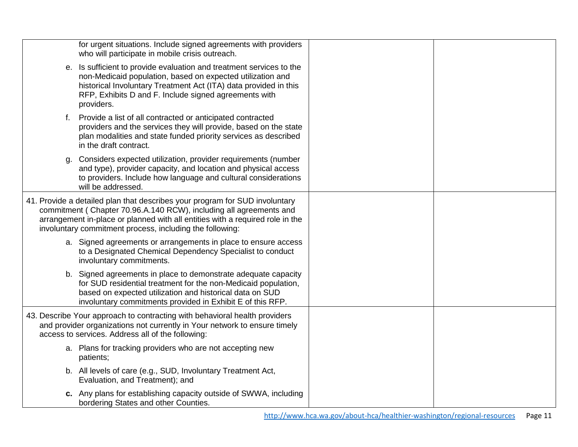|    | for urgent situations. Include signed agreements with providers<br>who will participate in mobile crisis outreach.                                                                                                                                                                             |  |
|----|------------------------------------------------------------------------------------------------------------------------------------------------------------------------------------------------------------------------------------------------------------------------------------------------|--|
|    | e. Is sufficient to provide evaluation and treatment services to the<br>non-Medicaid population, based on expected utilization and<br>historical Involuntary Treatment Act (ITA) data provided in this<br>RFP, Exhibits D and F. Include signed agreements with<br>providers.                  |  |
|    | f. Provide a list of all contracted or anticipated contracted<br>providers and the services they will provide, based on the state<br>plan modalities and state funded priority services as described<br>in the draft contract.                                                                 |  |
|    | Considers expected utilization, provider requirements (number<br>and type), provider capacity, and location and physical access<br>to providers. Include how language and cultural considerations<br>will be addressed.                                                                        |  |
|    | 41. Provide a detailed plan that describes your program for SUD involuntary<br>commitment (Chapter 70.96.A.140 RCW), including all agreements and<br>arrangement in-place or planned with all entities with a required role in the<br>involuntary commitment process, including the following: |  |
|    | a. Signed agreements or arrangements in place to ensure access<br>to a Designated Chemical Dependency Specialist to conduct<br>involuntary commitments.                                                                                                                                        |  |
| b. | Signed agreements in place to demonstrate adequate capacity<br>for SUD residential treatment for the non-Medicaid population,<br>based on expected utilization and historical data on SUD<br>involuntary commitments provided in Exhibit E of this RFP.                                        |  |
|    | 43. Describe Your approach to contracting with behavioral health providers<br>and provider organizations not currently in Your network to ensure timely<br>access to services. Address all of the following:                                                                                   |  |
|    | a. Plans for tracking providers who are not accepting new<br>patients;                                                                                                                                                                                                                         |  |
|    | b. All levels of care (e.g., SUD, Involuntary Treatment Act,<br>Evaluation, and Treatment); and                                                                                                                                                                                                |  |
|    | c. Any plans for establishing capacity outside of SWWA, including<br>bordering States and other Counties.                                                                                                                                                                                      |  |